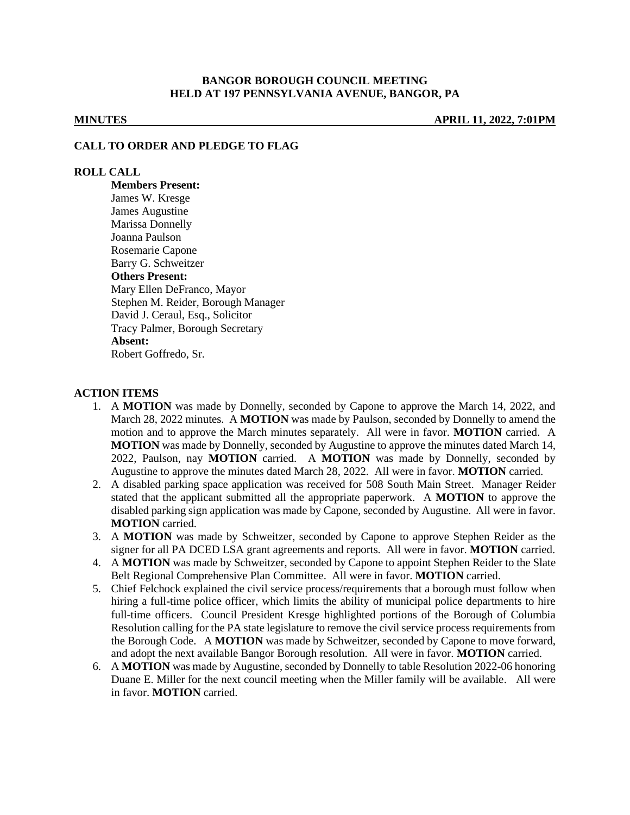### **BANGOR BOROUGH COUNCIL MEETING HELD AT 197 PENNSYLVANIA AVENUE, BANGOR, PA**

**MINUTES APRIL 11, 2022, 7:01PM**

#### **CALL TO ORDER AND PLEDGE TO FLAG**

#### **ROLL CALL**

**Members Present:** James W. Kresge James Augustine Marissa Donnelly Joanna Paulson Rosemarie Capone Barry G. Schweitzer **Others Present:** Mary Ellen DeFranco, Mayor Stephen M. Reider, Borough Manager David J. Ceraul, Esq., Solicitor Tracy Palmer, Borough Secretary **Absent:** Robert Goffredo, Sr.

#### **ACTION ITEMS**

- 1. A **MOTION** was made by Donnelly, seconded by Capone to approve the March 14, 2022, and March 28, 2022 minutes. A **MOTION** was made by Paulson, seconded by Donnelly to amend the motion and to approve the March minutes separately. All were in favor. **MOTION** carried. A **MOTION** was made by Donnelly, seconded by Augustine to approve the minutes dated March 14, 2022, Paulson, nay **MOTION** carried. A **MOTION** was made by Donnelly, seconded by Augustine to approve the minutes dated March 28, 2022. All were in favor. **MOTION** carried.
- 2. A disabled parking space application was received for 508 South Main Street. Manager Reider stated that the applicant submitted all the appropriate paperwork. A **MOTION** to approve the disabled parking sign application was made by Capone, seconded by Augustine. All were in favor. **MOTION** carried.
- 3. A **MOTION** was made by Schweitzer, seconded by Capone to approve Stephen Reider as the signer for all PA DCED LSA grant agreements and reports. All were in favor. **MOTION** carried.
- 4. A **MOTION** was made by Schweitzer, seconded by Capone to appoint Stephen Reider to the Slate Belt Regional Comprehensive Plan Committee. All were in favor. **MOTION** carried.
- 5. Chief Felchock explained the civil service process/requirements that a borough must follow when hiring a full-time police officer, which limits the ability of municipal police departments to hire full-time officers. Council President Kresge highlighted portions of the Borough of Columbia Resolution calling for the PA state legislature to remove the civil service process requirements from the Borough Code. A **MOTION** was made by Schweitzer, seconded by Capone to move forward, and adopt the next available Bangor Borough resolution. All were in favor. **MOTION** carried.
- 6. A **MOTION** was made by Augustine, seconded by Donnelly to table Resolution 2022-06 honoring Duane E. Miller for the next council meeting when the Miller family will be available. All were in favor. **MOTION** carried.